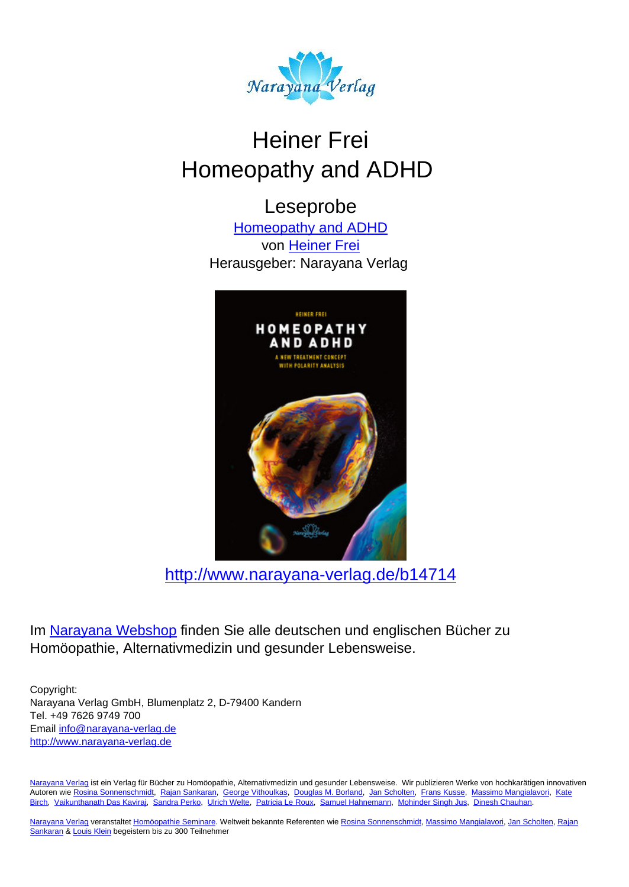

# Heiner Frei Homeopathy and ADHD

Leseprobe [Homeopathy and ADHD](http://www.narayana-verlag.de/Homeopathy-and-ADHD-Heiner-Frei/b14714/partner/leseprobe)

von [Heiner Frei](http://www.narayana-verlag.de/Heiner-Frei/a248/partner/leseprobe) Herausgeber: Narayana Verlag



[http://www.narayana-verlag.de/b14714](http://www.narayana-verlag.de/Homeopathy-and-ADHD-Heiner-Frei/b14714/partner/leseprobe)

Im [Narayana Webshop](http://www.narayana-verlag.de/partner/leseprobe) finden Sie alle deutschen und englischen Bücher zu Homöopathie, Alternativmedizin und gesunder Lebensweise.

Copyright: Narayana Verlag GmbH, Blumenplatz 2, D-79400 Kandern Tel. +49 7626 9749 700 Email [info@narayana-verlag.de](mailto:info@narayana-verlag.de) [http://www.narayana-verlag.de](http://www.narayana-verlag.de/partner/leseprobe)

[Narayana Verlag](http://www.narayana-verlag.de/partner/leseprobe) ist ein Verlag für Bücher zu Homöopathie, Alternativmedizin und gesunder Lebensweise. Wir publizieren Werke von hochkarätigen innovativen Autoren wie [Rosina Sonnenschmidt,](http://www.narayana-verlag.de/Rosina-Sonnenschmidt/a835/partner/leseprobe) [Rajan Sankaran,](http://www.narayana-verlag.de/Rajan-Sankaran/a747/partner/leseprobe) [George Vithoulkas](http://www.narayana-verlag.de/George-Vithoulkas/a917/partner/leseprobe), [Douglas M. Borland](http://www.narayana-verlag.de/Douglas-M-Borland/a86/partner/leseprobe), [Jan Scholten,](http://www.narayana-verlag.de/Jan-Scholten/a777/partner/leseprobe) [Frans Kusse](http://www.narayana-verlag.de/Frans-Kusse/a1305/partner/leseprobe), [Massimo Mangialavori](http://www.narayana-verlag.de/Massimo-Mangialavori/a538/partner/leseprobe), [Kate](http://www.narayana-verlag.de/Kate-Birch/a1439/partner/leseprobe) [Birch,](http://www.narayana-verlag.de/Kate-Birch/a1439/partner/leseprobe) [Vaikunthanath Das Kaviraj](http://www.narayana-verlag.de/Vaikunthanath-Das-Kaviraj/a1476/partner/leseprobe), [Sandra Perko,](http://www.narayana-verlag.de/Sandra-Perko/a642/partner/leseprobe) [Ulrich Welte](http://www.narayana-verlag.de/Ulrich-Welte/a935/partner/leseprobe), [Patricia Le Roux](http://www.narayana-verlag.de/Patricia-Le-Roux/a1230/partner/leseprobe), [Samuel Hahnemann](http://www.narayana-verlag.de/Samuel-Hahnemann/a329/partner/leseprobe), [Mohinder Singh Jus](http://www.narayana-verlag.de/Mohinder-Singh-Jus/a417/partner/leseprobe), [Dinesh Chauhan.](http://www.narayana-verlag.de/Dinesh-Chauhan/a123/partner/leseprobe)

[Narayana Verlag](http://www.narayana-verlag.de/partner/leseprobe) veranstaltet [Homöopathie Seminare](http://www.narayana-verlag.de/Seminare/c162/partner/leseprobe). Weltweit bekannte Referenten wie [Rosina Sonnenschmidt](http://www.narayana-verlag.de/Rosina-Sonnenschmidt/a835/partner/leseprobe), [Massimo Mangialavori](http://www.narayana-verlag.de/Massimo-Mangialavori/a538/partner/leseprobe), [Jan Scholten](http://www.narayana-verlag.de/Jan-Scholten/a777/partner/leseprobe), [Rajan](http://www.narayana-verlag.de/Rajan-Sankaran/a747/partner/leseprobe) [Sankaran](http://www.narayana-verlag.de/Rajan-Sankaran/a747/partner/leseprobe) & [Louis Klein](http://www.narayana-verlag.de/Louis-Klein/a450/partner/leseprobe) begeistern bis zu 300 Teilnehmer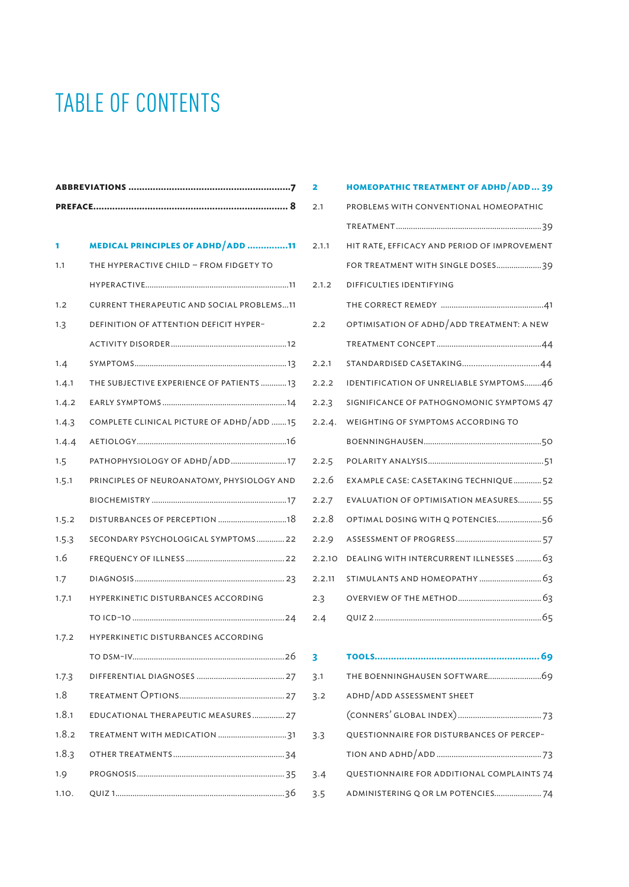# TABLE OF CONTENTS

| 1.      | MEDICAL PRINCIPLES OF ADHD ADD 11                |  |  |  |  |
|---------|--------------------------------------------------|--|--|--|--|
| 1.1     | THE HYPERACTIVE CHILD - FROM FIDGETY TO          |  |  |  |  |
|         |                                                  |  |  |  |  |
| 1.2     | <b>CURRENT THERAPEUTIC AND SOCIAL PROBLEMS11</b> |  |  |  |  |
| 1.3     | DEFINITION OF ATTENTION DEFICIT HYPER-           |  |  |  |  |
|         |                                                  |  |  |  |  |
| 1.4     |                                                  |  |  |  |  |
| 1.4.1   | THE SUBJECTIVE EXPERIENCE OF PATIENTS 13         |  |  |  |  |
| 1.4.2   |                                                  |  |  |  |  |
| 1.4.3   | COMPLETE CLINICAL PICTURE OF ADHD/ADD 15         |  |  |  |  |
| 1.4.4   |                                                  |  |  |  |  |
| $1.5 -$ | PATHOPHYSIOLOGY OF ADHD ADD17                    |  |  |  |  |
| 1.5.1   | PRINCIPLES OF NEUROANATOMY, PHYSIOLOGY AND       |  |  |  |  |
|         |                                                  |  |  |  |  |
| 1.5.2   | DISTURBANCES OF PERCEPTION 18                    |  |  |  |  |
| 1.5.3   | SECONDARY PSYCHOLOGICAL SYMPTOMS22               |  |  |  |  |
| 1.6     |                                                  |  |  |  |  |
| 1.7     |                                                  |  |  |  |  |
| 1.7.1   | HYPERKINETIC DISTURBANCES ACCORDING              |  |  |  |  |
|         |                                                  |  |  |  |  |
| 1.7.2   | HYPERKINETIC DISTURBANCES ACCORDING              |  |  |  |  |
|         |                                                  |  |  |  |  |
| 1.7.3   |                                                  |  |  |  |  |
| 1.8     |                                                  |  |  |  |  |
| 1.8.1   | EDUCATIONAL THERAPEUTIC MEASURES 27              |  |  |  |  |
| 1.8.2   | TREATMENT WITH MEDICATION 31                     |  |  |  |  |
| 1.8.3   |                                                  |  |  |  |  |
| 1.9     |                                                  |  |  |  |  |
| 1.10.   |                                                  |  |  |  |  |

| 2.1    | PROBLEMS WITH CONVENTIONAL HOMEOPATHIC       |
|--------|----------------------------------------------|
|        |                                              |
| 2.1.1  | HIT RATE, EFFICACY AND PERIOD OF IMPROVEMENT |
|        | FOR TREATMENT WITH SINGLE DOSES39            |
| 2.1.2  | DIFFICULTIES IDENTIFYING                     |
|        |                                              |
| 2.2    | OPTIMISATION OF ADHD/ADD TREATMENT: A NEW    |
|        |                                              |
| 2.2.1  | STANDARDISED CASETAKING44                    |
| 2.2.2  | IDENTIFICATION OF UNRELIABLE SYMPTOMS46      |
| 2.2.3  | SIGNIFICANCE OF PATHOGNOMONIC SYMPTOMS 47    |
| 2.2.4. | WEIGHTING OF SYMPTOMS ACCORDING TO           |
|        |                                              |
| 2.2.5  |                                              |
| 2.2.6  | EXAMPLE CASE: CASETAKING TECHNIQUE 52        |
| 2.2.7  | EVALUATION OF OPTIMISATION MEASURES 55       |
| 2.2.8  | OPTIMAL DOSING WITH Q POTENCIES56            |
| 2.2.9  |                                              |
| 2.2.10 | DEALING WITH INTERCURRENT ILLNESSES  63      |
| 2.2.11 |                                              |
| 2.3    |                                              |
| 2.4    |                                              |
|        |                                              |
| 3      |                                              |
| 3.1    |                                              |

3.2 adhd / add assessment sheet

(conners' global index)....................................... 73

tion and adhd / add................................................. 73

3.3 questionnaire for disturbances of percep-

3.4 questionnaire for additional complaints 74 3.5 administering q or lm potencies...................... 74

**2 homeopathic treatment of adhd / add... 39**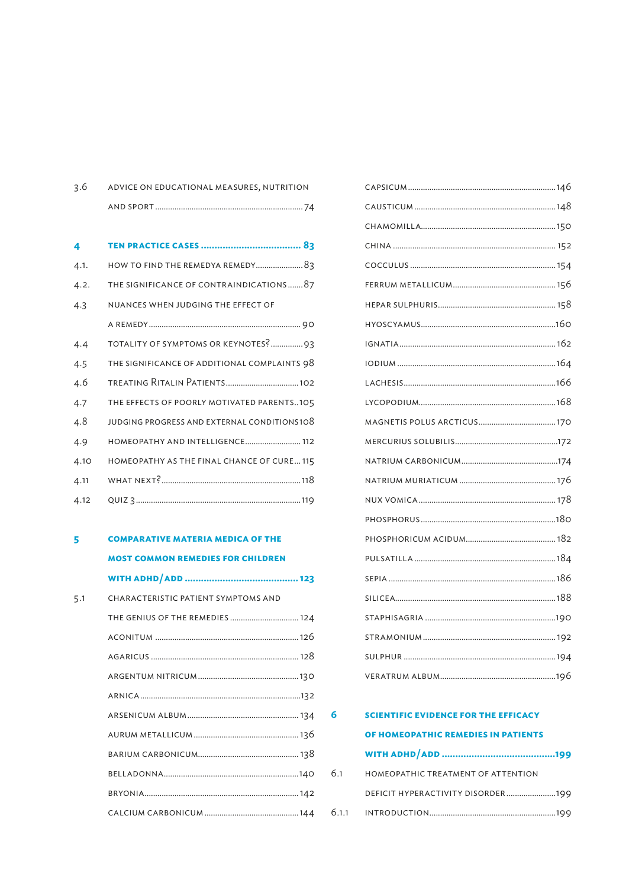| 3.6 | ADVICE ON EDUCATIONAL MEASURES, NUTRITION |  |
|-----|-------------------------------------------|--|
|     |                                           |  |

| 4    |                                              |
|------|----------------------------------------------|
| 4.1. |                                              |
| 4.2. | THE SIGNIFICANCE OF CONTRAINDICATIONS87      |
| 4.3  | NUANCES WHEN JUDGING THE EFFECT OF           |
|      |                                              |
| 4.4  | TOTALITY OF SYMPTOMS OR KEYNOTES?93          |
| 4.5  | THE SIGNIFICANCE OF ADDITIONAL COMPLAINTS 98 |
| 4.6  |                                              |
| 4.7  | THE EFFECTS OF POORLY MOTIVATED PARENTS105   |
| 4.8  | JUDGING PROGRESS AND EXTERNAL CONDITIONS108  |
| 4.9  | HOMEOPATHY AND INTELLIGENCE 112              |
| 4.10 | HOMEOPATHY AS THE FINAL CHANCE OF CURE 115   |
| 4.11 |                                              |
| 4.12 |                                              |

# **5 comparative materia medica of the most common remedies for children with adhd / add ..........................................123**

| 5.1 | CHARACTERISTIC PATIENT SYMPTOMS AND |
|-----|-------------------------------------|
|     | THE GENIUS OF THE REMEDIES  124     |
|     |                                     |
|     |                                     |
|     |                                     |
|     |                                     |
|     |                                     |
|     |                                     |
|     |                                     |
|     |                                     |
|     |                                     |
|     |                                     |
|     |                                     |

|     | <b>SCIENTIFIC EVIDENCE FOR THE EFFICACY</b> |  |  |  |
|-----|---------------------------------------------|--|--|--|
|     | OF HOMEOPATHIC REMEDIES IN PATIENTS         |  |  |  |
|     |                                             |  |  |  |
| 6.1 | HOMEOPATHIC TREATMENT OF ATTENTION          |  |  |  |
|     | DEFICIT HYPERACTIVITY DISORDER199           |  |  |  |
|     |                                             |  |  |  |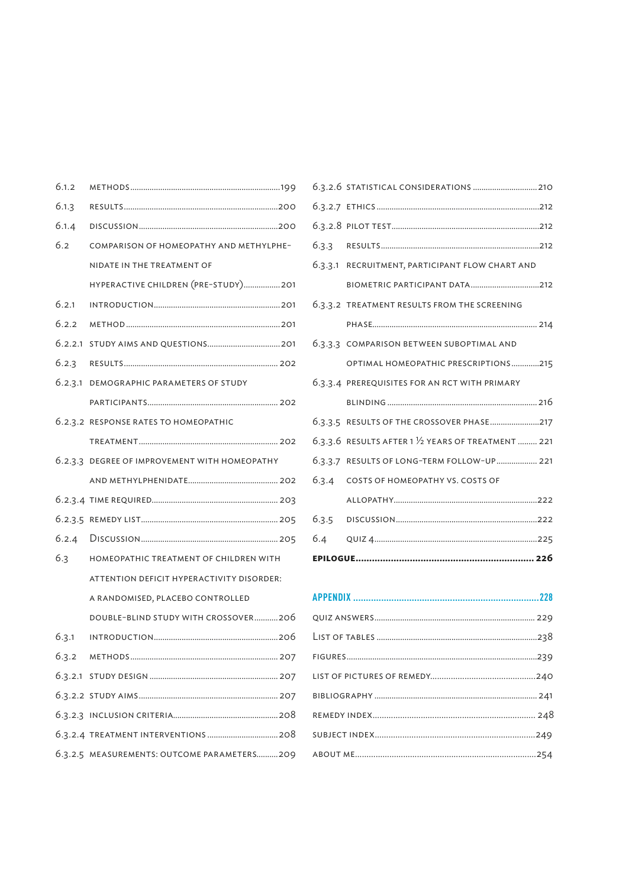| 6.1.2 |                                               |
|-------|-----------------------------------------------|
| 6.1.3 |                                               |
| 6.1.4 |                                               |
| 6.2   | COMPARISON OF HOMEOPATHY AND METHYLPHE-       |
|       | NIDATE IN THE TREATMENT OF                    |
|       | HYPERACTIVE CHILDREN (PRE-STUDY) 201          |
| 6.2.1 |                                               |
| 6.2.2 |                                               |
|       |                                               |
|       |                                               |
|       | 6.2.3.1 DEMOGRAPHIC PARAMETERS OF STUDY       |
|       |                                               |
|       | 6.2.3.2 RESPONSE RATES TO HOMEOPATHIC         |
|       |                                               |
|       | 6.2.3.3 DEGREE OF IMPROVEMENT WITH HOMEOPATHY |
|       |                                               |
|       |                                               |
|       |                                               |
|       |                                               |
| 6.3   | HOMEOPATHIC TREATMENT OF CHILDREN WITH        |
|       | ATTENTION DEFICIT HYPERACTIVITY DISORDER:     |
|       | A RANDOMISED, PLACEBO CONTROLLED              |
|       |                                               |
| 6.3.1 | DOUBLE-BLIND STUDY WITH CROSSOVER206          |
|       |                                               |
| 6.3.2 |                                               |
|       |                                               |
|       |                                               |
|       |                                               |
|       |                                               |

| 6.3.3.1 RECRUITMENT, PARTICIPANT FLOW CHART AND                 |
|-----------------------------------------------------------------|
| BIOMETRIC PARTICIPANT DATA212                                   |
| 6.3.3.2 TREATMENT RESULTS FROM THE SCREENING                    |
|                                                                 |
| 6.3.3.3 COMPARISON BETWEEN SUBOPTIMAL AND                       |
| OPTIMAL HOMEOPATHIC PRESCRIPTIONS215                            |
| 6.3.3.4 PREREQUISITES FOR AN RCT WITH PRIMARY                   |
|                                                                 |
|                                                                 |
| $6.3.3.6$ RESULTS AFTER 1 $\frac{1}{2}$ YEARS OF TREATMENT  221 |
| 6.3.3.7 RESULTS OF LONG-TERM FOLLOW-UP 221                      |
| 6.3.4 COSTS OF HOMEOPATHY VS. COSTS OF                          |
|                                                                 |
|                                                                 |
|                                                                 |
|                                                                 |
|                                                                 |

### **APPENDIX .........................................................................228**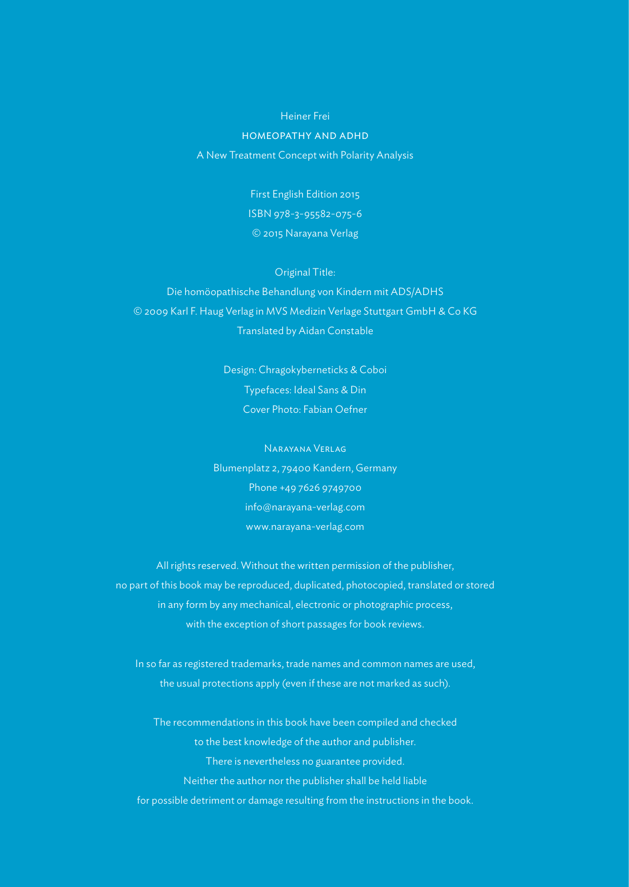#### Heiner Frei

#### homeopathy and adhd

A New Treatment Concept with Polarity Analysis

First English Edition 2015 ISBN 978-3-95582-075-6 © 2015 Narayana Verlag

Original Title:

Die homöopathische Behandlung von Kindern mit ADS/ADHS © 2009 Karl F. Haug Verlag in MVS Medizin Verlage Stuttgart GmbH & Co KG Translated by Aidan Constable

> Design: Chragokyberneticks & Coboi Typefaces: Ideal Sans & Din Cover Photo: Fabian Oefner

Narayana Verlag Blumenplatz 2, 79400 Kandern, Germany Phone +49 7626 9749700 info@narayana-verlag.com www.narayana-verlag.com

All rights reserved. Without the written permission of the publisher, no part of this book may be reproduced, duplicated, photocopied, translated or stored in any form by any mechanical, electronic or photographic process, with the exception of short passages for book reviews.

In so far as registered trademarks, trade names and common names are used, the usual protections apply (even if these are not marked as such).

The recommendations in this book have been compiled and checked to the best knowledge of the author and publisher. There is nevertheless no guarantee provided. Neither the author nor the publisher shall be held liable for possible detriment or damage resulting from the instructions in the book.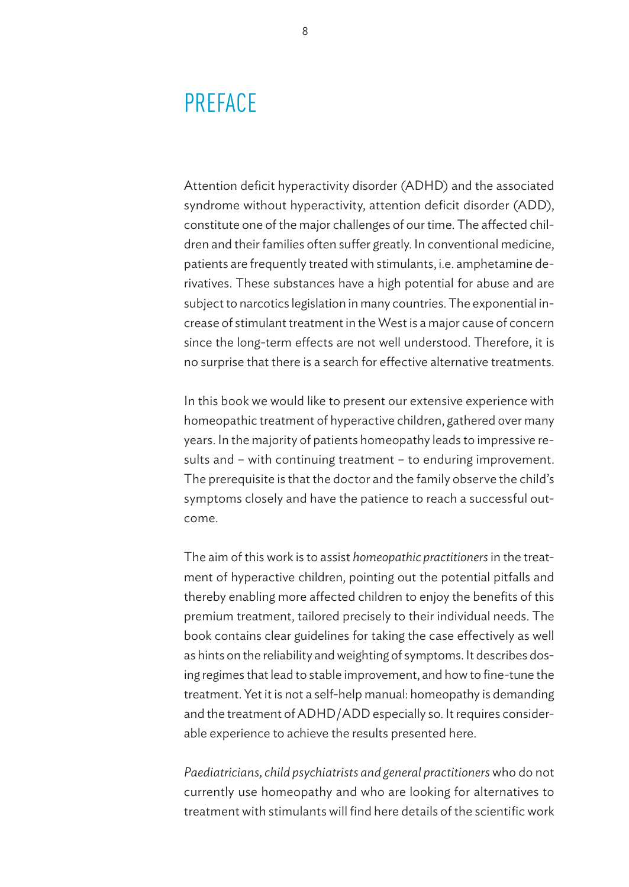# PREFACE

Attention deficit hyperactivity disorder (ADHD) and the associated syndrome without hyperactivity, attention deficit disorder (ADD), constitute one of the major challenges of our time. The affected children and their families often suffer greatly. In conventional medicine, patients are frequently treated with stimulants, i.e. amphetamine derivatives. These substances have a high potential for abuse and are subject to narcotics legislation in many countries. The exponential increase of stimulant treatment in the West is a major cause of concern since the long-term effects are not well understood. Therefore, it is no surprise that there is a search for effective alternative treatments.

In this book we would like to present our extensive experience with homeopathic treatment of hyperactive children, gathered over many years. In the majority of patients homeopathy leads to impressive results and – with continuing treatment – to enduring improvement. The prerequisite is that the doctor and the family observe the child's symptoms closely and have the patience to reach a successful outcome.

The aim of this work is to assist *homeopathic practitioners* in the treatment of hyperactive children, pointing out the potential pitfalls and thereby enabling more affected children to enjoy the benefits of this premium treatment, tailored precisely to their individual needs. The book contains clear guidelines for taking the case effectively as well as hints on the reliability and weighting of symptoms. It describes dosing regimes that lead to stable improvement, and how to fine-tune the treatment. Yet it is not a self-help manual: homeopathy is demanding and the treatment of ADHD / ADD especially so. It requires considerable experience to achieve the results presented here.

*Paediatricians, child psychiatrists and general practitioners* who do not currently use homeopathy and who are looking for alternatives to treatment with stimulants will find here details of the scientific work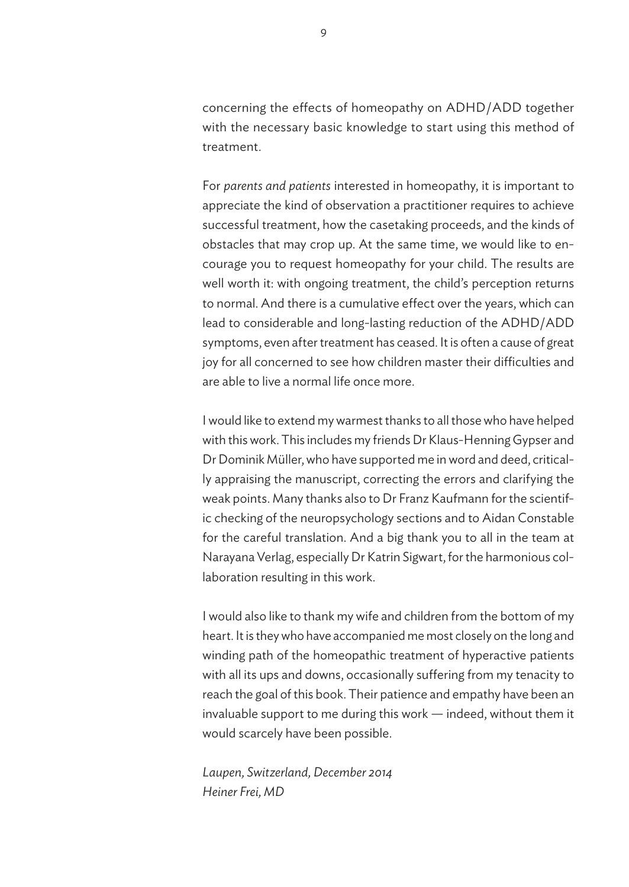concerning the effects of homeopathy on ADHD / ADD together with the necessary basic knowledge to start using this method of treatment.

For *parents and patients* interested in homeopathy, it is important to appreciate the kind of observation a practitioner requires to achieve successful treatment, how the casetaking proceeds, and the kinds of obstacles that may crop up. At the same time, we would like to encourage you to request homeopathy for your child. The results are well worth it: with ongoing treatment, the child's perception returns to normal. And there is a cumulative effect over the years, which can lead to considerable and long-lasting reduction of the ADHD/ADD symptoms, even after treatment has ceased. It is often a cause of great joy for all concerned to see how children master their difficulties and are able to live a normal life once more.

I would like to extend my warmest thanks to all those who have helped with this work. This includes my friends Dr Klaus-Henning Gypser and Dr Dominik Müller, who have supported me in word and deed, critically appraising the manuscript, correcting the errors and clarifying the weak points. Many thanks also to Dr Franz Kaufmann for the scientific checking of the neuropsychology sections and to Aidan Constable for the careful translation. And a big thank you to all in the team at Narayana Verlag, especially Dr Katrin Sigwart, for the harmonious collaboration resulting in this work.

I would also like to thank my wife and children from the bottom of my heart. It is they who have accompanied me most closely on the long and winding path of the homeopathic treatment of hyperactive patients with all its ups and downs, occasionally suffering from my tenacity to reach the goal of this book. Their patience and empathy have been an invaluable support to me during this work — indeed, without them it would scarcely have been possible.

*Laupen, Switzerland, December 2014 Heiner Frei, MD*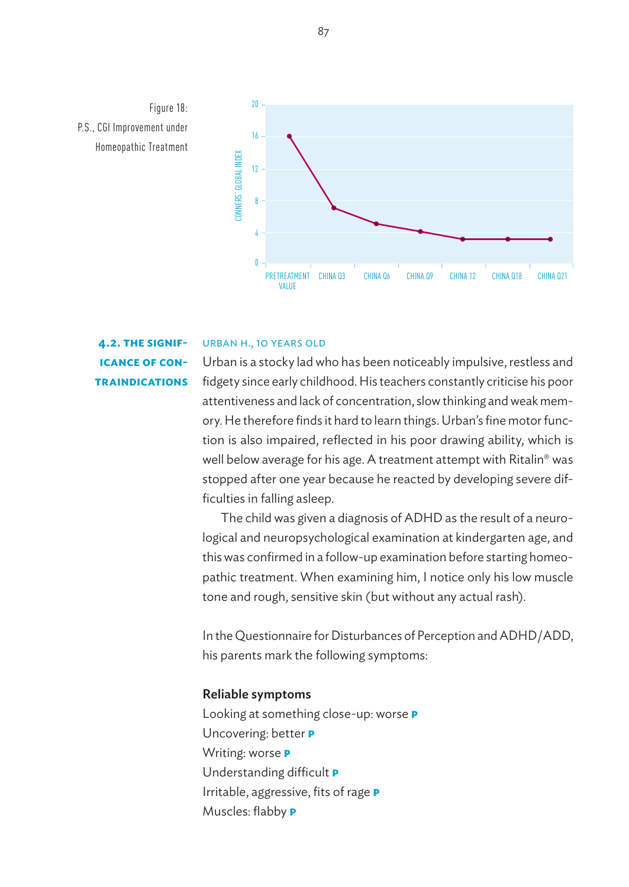



### URBAN H., 10 YEARS OLD

**4.2. the significance of contraindications**

ficulties in falling asleep. well below average for his age. A treatment attempt with Ritalin® was tion is also impaired, reflected in his poor drawing ability, which is attentiveness and lack of concentration, slow thinking and weak mem-16 Urban is a stocky lad who has been noticeably impulsive, restless and CONNE<br>Si fidgety since early childhood. His teachers constantly criticise his poor ory. He therefore finds it hard to learn things. Urban's fine motor funcstopped after one year because he reacted by developing severe dif-

PRETREATMENT LYC Q3 vas The child was given a diagnosis of ADHD as the result of a neuropathic treatment. When examining him, I notice only his low muscle logical and neuropsychological examination at kindergarten age, and this was confirmed in a follow-up examination before starting homeotone and rough, sensitive skin (but without any actual rash).

8 In the Questionnaire for Disturbances of Perception and ADHD / ADD, C<br>re his parents mark the following symptoms:

#### Reliable symptoms

Looking at something close-up: worse **P** Uncovering: better **p** 20 Muscles: flabby **p** 25 Irritable, aggressive, fits of rage **p** Writing: worse **p** Understanding difficult **p**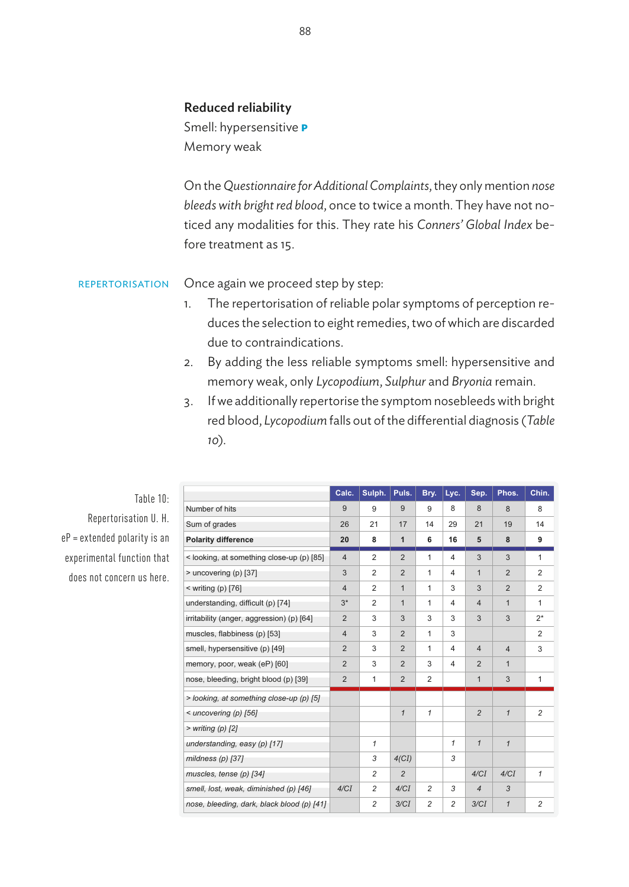# Reduced reliability

Smell: hypersensitive **p** Memory weak

On the *Questionnaire for Additional Complaints*, they only mention *nose bleeds with bright red blood*, once to twice a month. They have not noticed any modalities for this. They rate his *Conners' Global Index* before treatment as 15.

Once again we proceed step by step: repertorisation

- 1. The repertorisation of reliable polar symptoms of perception reduces the selection to eight remedies, two of which are discarded due to contraindications.
- 2. By adding the less reliable symptoms smell: hypersensitive and memory weak, only *Lycopodium*, *Sulphur* and *Bryonia* remain.
- 3. If we additionally repertorise the symptom nosebleeds with bright red blood, *Lycopodium* falls out of the differential diagnosis (*Table*  ).

| Table 10: |                                            | Calc.          | Sulph.         | Puls.          | Bry.           | Lyc.           | Sep.           | Phos.          | Chin.          |  |
|-----------|--------------------------------------------|----------------|----------------|----------------|----------------|----------------|----------------|----------------|----------------|--|
|           | Number of hits                             | 9              | 9              | 9              | 9              | 8              | 8              | 8              | 8              |  |
|           | Sum of grades                              | 26             | 21             | 17             | 14             | 29             | 21             | 19             | 14             |  |
|           | <b>Polarity difference</b>                 | 20             | 8              | $\mathbf{1}$   | 6              | 16             | 5              | 8              | 9              |  |
|           | < looking, at something close-up (p) [85]  | $\overline{4}$ | 2              | $\overline{2}$ | $\mathbf{1}$   | $\overline{4}$ | 3              | 3              | $\mathbf{1}$   |  |
|           | > uncovering (p) [37]                      | 3              | $\overline{2}$ | $\overline{2}$ | 1              | $\overline{4}$ | $\mathbf{1}$   | $\overline{2}$ | $\overline{2}$ |  |
|           | $\leq$ writing (p) [76]                    | $\overline{4}$ | $\overline{2}$ | $\mathbf{1}$   | 1              | 3              | 3              | $\overline{2}$ | $\overline{2}$ |  |
|           | understanding, difficult (p) [74]          | $3*$           | $\overline{2}$ | $\mathbf{1}$   | 1              | 4              | 4              | $\mathbf{1}$   | 1              |  |
|           | irritability (anger, aggression) (p) [64]  | $\overline{2}$ | 3              | 3              | 3              | 3              | 3              | 3              | $2^*$          |  |
|           | muscles, flabbiness (p) [53]               | $\overline{4}$ | 3              | $\overline{2}$ | $\mathbf{1}$   | 3              |                |                | 2              |  |
|           | smell, hypersensitive (p) [49]             | $\overline{2}$ | 3              | 2              | $\mathbf{1}$   | $\overline{4}$ | $\overline{4}$ | $\overline{4}$ | 3              |  |
|           | memory, poor, weak (eP) [60]               | $\overline{2}$ | 3              | $\overline{2}$ | 3              | 4              | $\overline{2}$ | $\mathbf{1}$   |                |  |
|           | nose, bleeding, bright blood (p) [39]      | $\overline{2}$ | 1              | $\overline{2}$ | 2              |                | $\mathbf{1}$   | 3              | $\mathbf{1}$   |  |
|           | > looking, at something close-up (p) [5]   |                |                |                |                |                |                |                |                |  |
|           | $\leq$ uncovering (p) [56]                 |                |                | $\mathbf{1}$   | $\mathcal I$   |                | $\overline{c}$ | $\mathbf{1}$   | $\overline{2}$ |  |
|           | $>$ writing (p) [2]                        |                |                |                |                |                |                |                |                |  |
|           | understanding, easy (p) [17]               |                | $\mathcal I$   |                |                | $\mathbf{1}$   | $\mathbf{1}$   | $\mathbf{1}$   |                |  |
|           | mildness $(p)$ [37]                        |                | 3              | $4$ (CI)       |                | 3              |                |                |                |  |
|           | muscles, tense (p) [34]                    |                | $\overline{c}$ | $\overline{2}$ |                |                | 4/CI           | 4/CI           | $\mathcal I$   |  |
|           | smell, lost, weak, diminished (p) [46]     | 4/CI           | 2              | 4/CI           | $\overline{c}$ | 3              | $\overline{4}$ | 3              |                |  |
|           | nose, bleeding, dark, black blood (p) [41] |                | $\overline{c}$ | 3/CI           | $\overline{c}$ | $\overline{c}$ | 3/CI           | $\mathbf{1}$   | $\overline{c}$ |  |
|           |                                            |                |                |                |                |                |                |                |                |  |

Repertorisation U. H. eP = extended polarity is an experimental function that does not concern us here.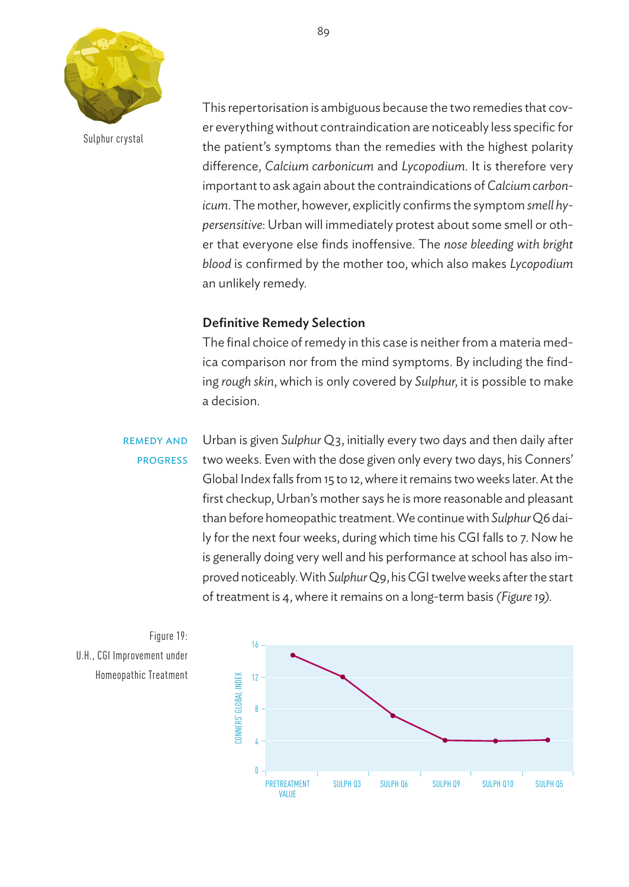

Sulphur crystal

This repertorisation is ambiguous because the two remedies that cover everything without contraindication are noticeably less specific for the patient's symptoms than the remedies with the highest polarity difference, *Calcium carbonicum* and *Lycopodium*. It is therefore very 20 important to ask again about the contraindications of *Calcium carbonicum.* The mother, however, explicitly confirms the symptom *smell hy-*16 *persensitive*: Urban will immediately protest about some smell or other that everyone else finds inoffensive. The *nose bleeding with bright*  12 *blood* is confirmed by the mother too, which also makes *Lycopodium*  8 an unlikely remedy. cs<br>t<br>lik

# Definitive Remedy Selection 0

The final choice of remedy in this case is neither from a materia medica comparison nor from the mind symptoms. By including the finding *rough skin*, which is only covered by *Sulphur*, it is possible to make a decision. 20

remedy and progress

Urban is given Sulphur Q3, initially every two days and then daily after two weeks. Even with the dose given only every two days, his Conners' Global Index falls from 15 to 12, where it remains two weeks later. At the 12 first checkup, Urban's mother says he is more reasonable and pleasant 8 than before homeopathic treatment. We continue with *Sulphur* Q6 daily for the next four weeks, during which time his CGI falls to 7. Now he 4 is generally doing very well and his performance at school has also im-0 proved noticeably. With Sulphur Q9, his CGI twelve weeks after the start of treatment is 4, where it remains on a long-term basis *(Figure 19)*. e<br>||<br>|e

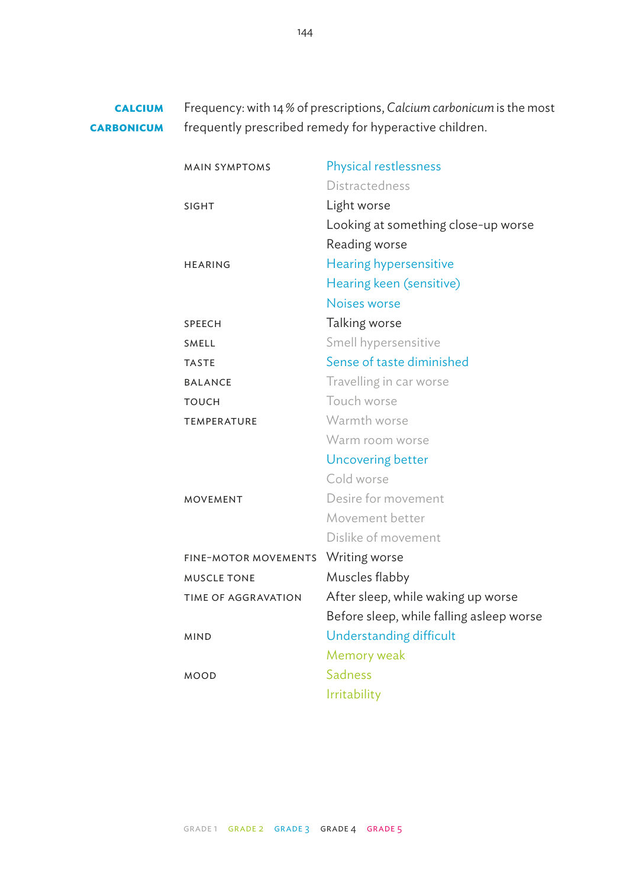Frequency: with 14 % of prescriptions, *Calcium carbonicum* is the most frequently prescribed remedy for hyperactive children. **calcium carbonicum**

| <b>MAIN SYMPTOMS</b>        | Physical restlessness                    |
|-----------------------------|------------------------------------------|
|                             | Distractedness                           |
| <b>SIGHT</b>                | Light worse                              |
|                             | Looking at something close-up worse      |
|                             | Reading worse                            |
| <b>HEARING</b>              | Hearing hypersensitive                   |
|                             | Hearing keen (sensitive)                 |
|                             | Noises worse                             |
| SPEECH                      | Talking worse                            |
| <b>SMELL</b>                | Smell hypersensitive                     |
| <b>TASTE</b>                | Sense of taste diminished                |
| <b>BALANCE</b>              | Travelling in car worse                  |
| TOUCH                       | Touch worse                              |
| TEMPERATURE                 | Warmth worse                             |
|                             | Warm room worse                          |
|                             | Uncovering better                        |
|                             | Cold worse                               |
| <b>MOVEMENT</b>             | Desire for movement                      |
|                             | Movement better                          |
|                             | Dislike of movement                      |
| <b>FINE-MOTOR MOVEMENTS</b> | Writing worse                            |
| <b>MUSCLE TONE</b>          | Muscles flabby                           |
| TIME OF AGGRAVATION         | After sleep, while waking up worse       |
|                             | Before sleep, while falling asleep worse |
| <b>MIND</b>                 | Understanding difficult                  |
|                             | Memory weak                              |
| <b>MOOD</b>                 | Sadness                                  |
|                             | Irritability                             |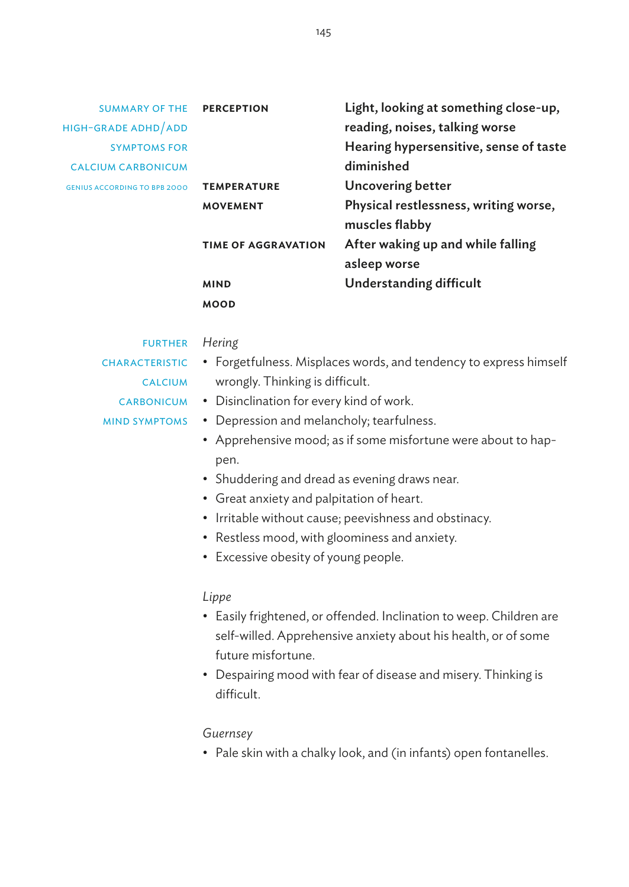| <b>SUMMARY OF THE</b>               | <b>PERCEPTION</b>          | Light, looking at something close-up,  |
|-------------------------------------|----------------------------|----------------------------------------|
| HIGH-GRADE ADHD/ADD                 |                            | reading, noises, talking worse         |
| <b>SYMPTOMS FOR</b>                 |                            | Hearing hypersensitive, sense of taste |
| <b>CALCIUM CARBONICUM</b>           |                            | diminished                             |
| <b>GENIUS ACCORDING TO BPB 2000</b> | <b>TEMPERATURE</b>         | Uncovering better                      |
|                                     | <b>MOVEMENT</b>            | Physical restlessness, writing worse,  |
|                                     |                            | muscles flabby                         |
|                                     | <b>TIME OF AGGRAVATION</b> | After waking up and while falling      |
|                                     |                            | asleep worse                           |
|                                     | <b>MIND</b>                | <b>Understanding difficult</b>         |
|                                     | <b>MOOD</b>                |                                        |

#### FURTHER Hering

- **CHARACTERISTIC** 
	-
- Forgetfulness. Misplaces words, and tendency to express himself CALCIUM wrongly. Thinking is difficult.
	- CARBONICUM . Disinclination for every kind of work.
- Depression and melancholy; tearfulness. mind symptoms
	- Apprehensive mood; as if some misfortune were about to happen.
	- Shuddering and dread as evening draws near.
	- Great anxiety and palpitation of heart.
	- Irritable without cause; peevishness and obstinacy.
	- Restless mood, with gloominess and anxiety.
	- Excessive obesity of young people.

#### *Lippe*

- Easily frightened, or offended. Inclination to weep. Children are self-willed. Apprehensive anxiety about his health, or of some future misfortune.
- Despairing mood with fear of disease and misery. Thinking is difficult.

#### *Guernsey*

• Pale skin with a chalky look, and (in infants) open fontanelles.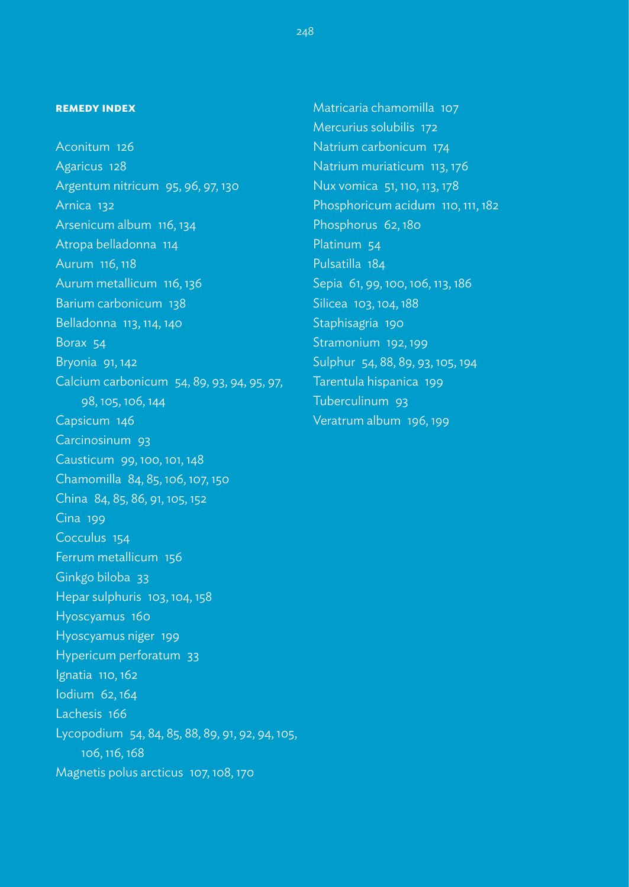#### **remedy index**

Aconitum 126 Agaricus 128 Argentum nitricum 95, 96, 97, 130 Arnica 132 Arsenicum album 116, 134 Atropa belladonna 114 Aurum 116, 118 Aurum metallicum 116, 136 Barium carbonicum 138 Belladonna 113, 114, 140 Borax 54 Bryonia 91, 142 Calcium carbonicum 54, 89, 93, 94, 95, 97, 98, 105, 106, 144 Capsicum 146 Carcinosinum 93 Causticum 99, 100, 101, 148 Chamomilla 84, 85, 106, 107, 150 China 84, 85, 86, 91, 105, 152 Cina 199 Cocculus 154 Ferrum metallicum 156 Ginkgo biloba 33 Hepar sulphuris 103, 104, 158 Hyoscyamus 160 Hyoscyamus niger 199 Hypericum perforatum 33 Ignatia 110, 162 Iodium 62, 164 Lachesis 166 Lycopodium 54, 84, 85, 88, 89, 91, 92, 94, 105, 106, 116, 168 Magnetis polus arcticus 107, 108, 170

Matricaria chamomilla 107 Mercurius solubilis 172 Natrium carbonicum 174 Natrium muriaticum 113, 176 Nux vomica 51, 110, 113, 178 Phosphoricum acidum 110, 111, 182 Phosphorus 62, 180 Platinum 54 Pulsatilla 184 Sepia 61, 99, 100, 106, 113, 186 Silicea 103, 104, 188 Staphisagria 190 Stramonium 192, 199 Sulphur 54, 88, 89, 93, 105, 194 Tarentula hispanica 199 Tuberculinum 93 Veratrum album 196, 199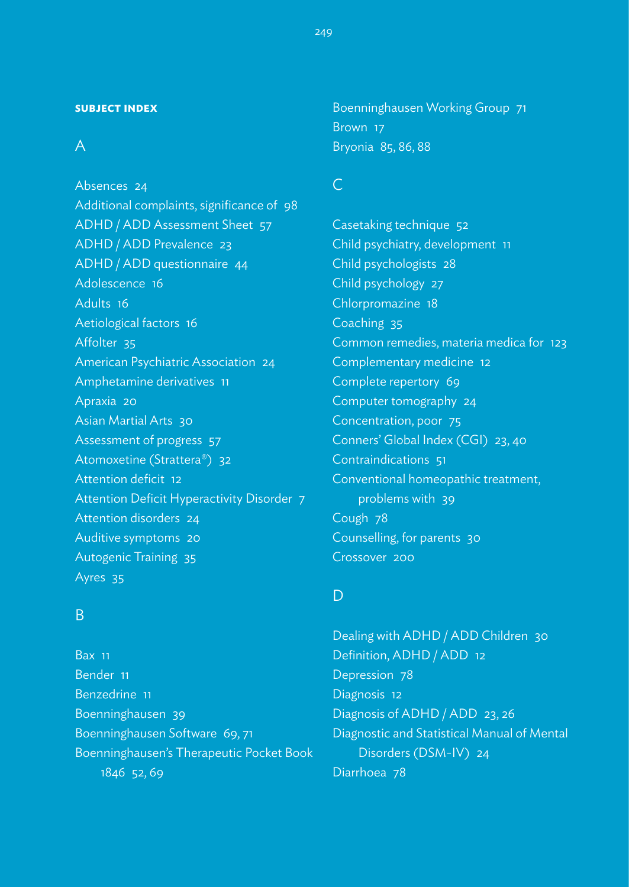#### **subject index**

# A

Absences 24 Additional complaints, significance of 98 ADHD / ADD Assessment Sheet 57 ADHD / ADD Prevalence 23 ADHD / ADD questionnaire 44 Adolescence 16 Adults 16 Aetiological factors 16 Affolter 35 American Psychiatric Association 24 Amphetamine derivatives 11 Apraxia 20 Asian Martial Arts 30 Assessment of progress 57 Atomoxetine (Strattera®) 32 Attention deficit 12 Attention Deficit Hyperactivity Disorder 7 Attention disorders 24 Auditive symptoms 20 Autogenic Training 35 Ayres 35

# B

Bax 11 Bender 11 Benzedrine 11 Boenninghausen 39 Boenninghausen Software 69, 71 Boenninghausen's Therapeutic Pocket Book 1846 52, 69

Boenninghausen Working Group 71 Brown 17 Bryonia 85, 86, 88

# C

Casetaking technique 52 Child psychiatry, development 11 Child psychologists 28 Child psychology 27 Chlorpromazine 18 Coaching 35 Common remedies, materia medica for 123 Complementary medicine 12 Complete repertory 69 Computer tomography 24 Concentration, poor 75 Conners' Global Index (CGI) 23, 40 Contraindications 51 Conventional homeopathic treatment, problems with 39 Cough 78 Counselling, for parents 30 Crossover 200

# $\mathsf{D}$

Dealing with ADHD / ADD Children 30 Definition, ADHD / ADD 12 Depression 78 Diagnosis 12 Diagnosis of ADHD / ADD 23, 26 Diagnostic and Statistical Manual of Mental Disorders (DSM-IV) 24 Diarrhoea 78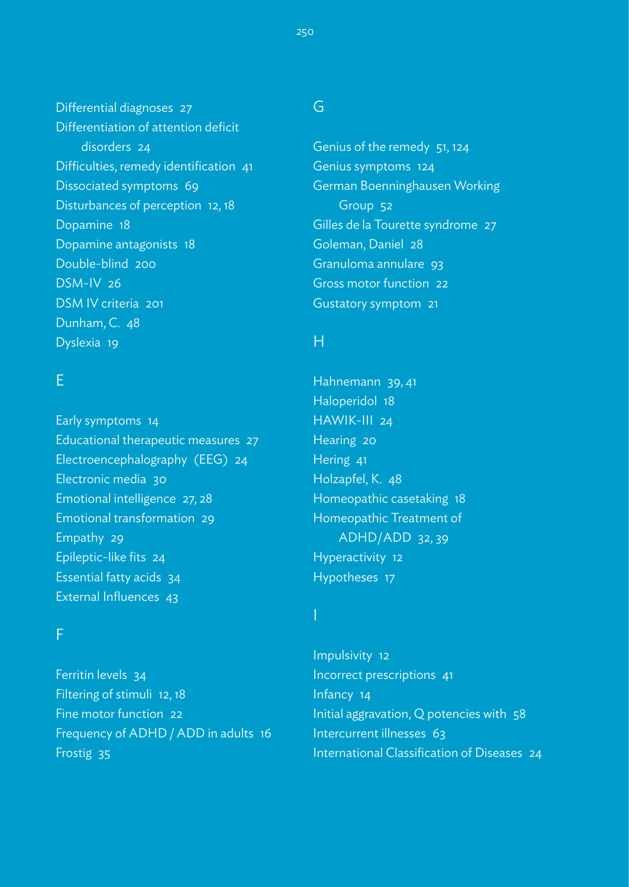Differential diagnoses 27 Differentiation of attention deficit disorders 24 Difficulties, remedy identification 41 Dissociated symptoms 69 Disturbances of perception 12, 18 Dopamine 18 Dopamine antagonists 18 Double-blind 200 DSM-IV 26 DSM IV criteria 201 Dunham, C. 48 Dyslexia 19

# E

Early symptoms 14 Educational therapeutic measures 27 Electroencephalography (EEG) 24 Electronic media 30 Emotional intelligence 27, 28 Emotional transformation 29 Empathy 29 Epileptic-like fits 24 Essential fatty acids 34 External Influences 43

### F

Ferritin levels 34 Filtering of stimuli 12, 18 Fine motor function 22 Frequency of ADHD / ADD in adults 16 Frostig 35

# G

Genius of the remedy 51, 124 Genius symptoms 124 German Boenninghausen Working Group 52 Gilles de la Tourette syndrome 27 Goleman, Daniel 28 Granuloma annulare 93 Gross motor function 22 Gustatory symptom 21

# H

Hahnemann 39, 41 Haloperidol 18 HAWIK-III 24 Hearing 20 Hering 41 Holzapfel, K. 48 Homeopathic casetaking 18 Homeopathic Treatment of ADHD/ADD 32, 39 Hyperactivity 12 Hypotheses 17

Impulsivity 12 Incorrect prescriptions 41 Infancy 14 Initial aggravation, Q potencies with 58 Intercurrent illnesses 63 International Classification of Diseases 24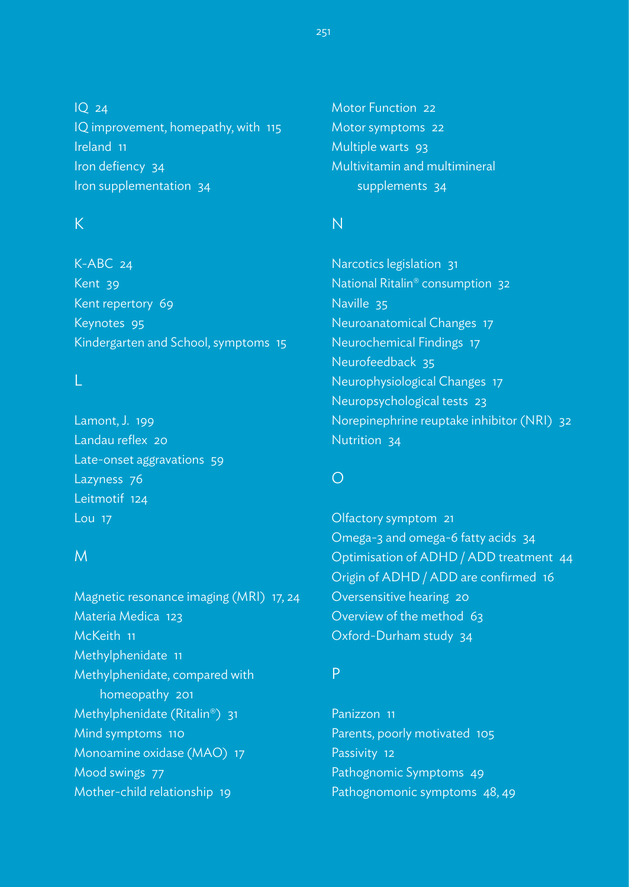IQ 24 IQ improvement, homepathy, with 115 Ireland 11 Iron defiency 34 Iron supplementation 34

# K

K-ABC 24 Kent 39 Kent repertory 69 Keynotes 95 Kindergarten and School, symptoms 15

Lamont, J. 199 Landau reflex 20 Late-onset aggravations 59 Lazyness 76 Leitmotif 124 Lou 17

## M

Magnetic resonance imaging (MRI) 17, 24 Materia Medica 123 McKeith 11 Methylphenidate 11 Methylphenidate, compared with homeopathy 201 Methylphenidate (Ritalin®) 31 Mind symptoms 110 Monoamine oxidase (MAO) 17 Mood swings 77 Mother-child relationship 19

Motor Function 22 Motor symptoms 22 Multiple warts 93 Multivitamin and multimineral supplements 34

# N

Narcotics legislation 31 National Ritalin® consumption 32 Naville 35 Neuroanatomical Changes 17 Neurochemical Findings 17 Neurofeedback 35 Neurophysiological Changes 17 Neuropsychological tests 23 Norepinephrine reuptake inhibitor (NRI) 32 Nutrition 34

# $\bigcirc$

Olfactory symptom 21 Omega-3 and omega-6 fatty acids 34 Optimisation of ADHD / ADD treatment 44 Origin of ADHD / ADD are confirmed 16 Oversensitive hearing 20 Overview of the method 63 Oxford-Durham study 34

# P

Panizzon 11 Parents, poorly motivated 105 Passivity 12 Pathognomic Symptoms 49 Pathognomonic symptoms 48, 49

251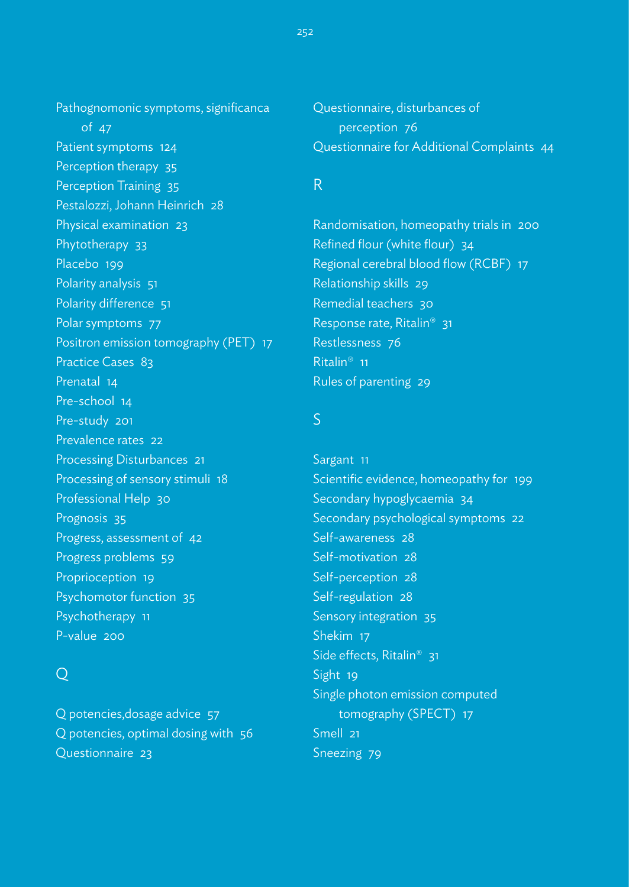Pathognomonic symptoms, significanca of 47 Patient symptoms 124 Perception therapy 35 Perception Training 35 Pestalozzi, Johann Heinrich 28 Physical examination 23 Phytotherapy 33 Placebo 199 Polarity analysis 51 Polarity difference 51 Polar symptoms 77 Positron emission tomography (PET) 17 Practice Cases 83 Prenatal 14 Pre-school 14 Pre-study 201 Prevalence rates 22 Processing Disturbances 21 Processing of sensory stimuli 18 Professional Help 30 Prognosis 35 Progress, assessment of 42 Progress problems 59 Proprioception 19 Psychomotor function 35 Psychotherapy 11

# $\bigcirc$

P-value 200

Q potencies,dosage advice 57 Q potencies, optimal dosing with 56 Questionnaire 23

Questionnaire, disturbances of perception 76 Questionnaire for Additional Complaints 44

# R

Randomisation, homeopathy trials in 200 Refined flour (white flour) 34 Regional cerebral blood flow (RCBF) 17 Relationship skills 29 Remedial teachers 30 Response rate, Ritalin® 31 Restlessness 76 Ritalin® 11 Rules of parenting 29

# S

Sargant 11 Scientific evidence, homeopathy for 199 Secondary hypoglycaemia 34 Secondary psychological symptoms 22 Self-awareness 28 Self-motivation 28 Self-perception 28 Self-regulation 28 Sensory integration 35 Shekim 17 Side effects, Ritalin<sup>®</sup> 31 Sight 19 Single photon emission computed tomography (SPECT) 17 Smell 21 Sneezing 79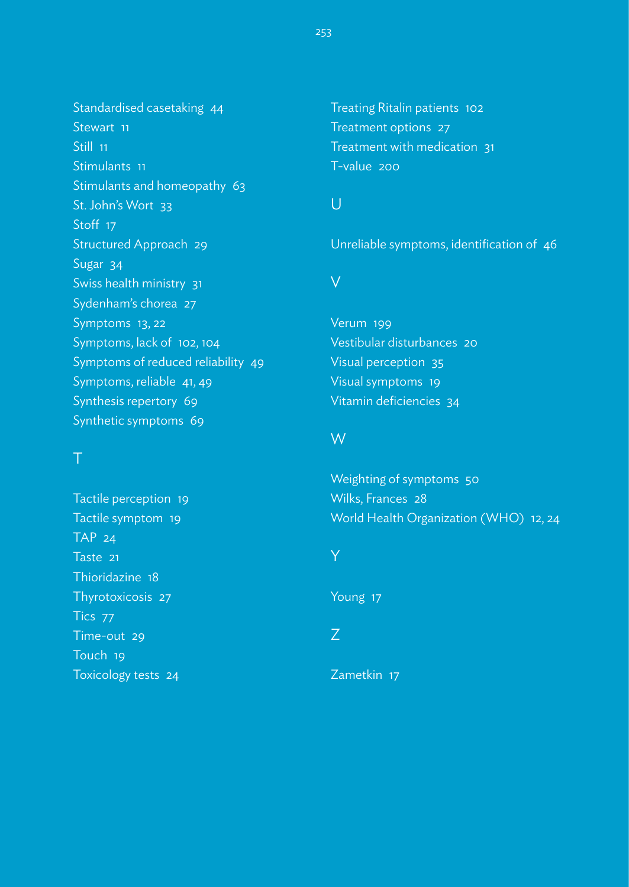Standardised casetaking 44 Stewart 11 Still 11 Stimulants 11 Stimulants and homeopathy 63 St. John's Wort 33 Stoff 17 Structured Approach 29 Sugar 34 Swiss health ministry 31 Sydenham's chorea 27 Symptoms 13, 22 Symptoms, lack of 102, 104 Symptoms of reduced reliability 49 Symptoms, reliable 41, 49 Synthesis repertory 69 Synthetic symptoms 69

Tactile perception 19 Tactile symptom 19 TAP 24 Taste 21 Thioridazine 18 Thyrotoxicosis 27 Tics 77 Time-out 29 Touch 19 Toxicology tests 24

Treating Ritalin patients 102 Treatment options 27 Treatment with medication 31 T-value 200

# U

Unreliable symptoms, identification of 46

## V

Verum 199 Vestibular disturbances 20 Visual perception 35 Visual symptoms 19 Vitamin deficiencies 34

# W

Weighting of symptoms 50 Wilks, Frances 28 World Health Organization (WHO) 12, 24

## Y

Young 17

# Z

Zametkin 17